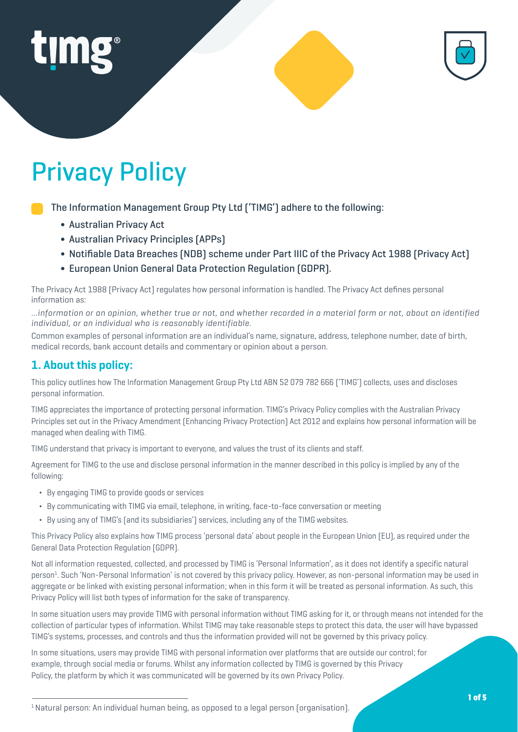

# Privacy Policy

The Information Management Group Pty Ltd ('TIMG') adhere to the following:

- ∫ Australian Privacy Act
- ∫ Australian Privacy Principles (APPs)
- ∫ Notifiable Data Breaches (NDB) scheme under Part IIIC of the Privacy Act 1988 (Privacy Act)
- ∫ European Union General Data Protection Regulation (GDPR).

The Privacy Act 1988 (Privacy Act) regulates how personal information is handled. The Privacy Act defines personal information as:

*…information or an opinion, whether true or not, and whether recorded in a material form or not, about an identified individual, or an individual who is reasonably identifiable.* 

Common examples of personal information are an individual's name, signature, address, telephone number, date of birth, medical records, bank account details and commentary or opinion about a person.

## **1. About this policy:**

This policy outlines how The Information Management Group Pty Ltd ABN 52 079 782 666 ('TIMG') collects, uses and discloses personal information.

TIMG appreciates the importance of protecting personal information. TIMG's Privacy Policy complies with the Australian Privacy Principles set out in the Privacy Amendment (Enhancing Privacy Protection) Act 2012 and explains how personal information will be managed when dealing with TIMG.

TIMG understand that privacy is important to everyone, and values the trust of its clients and staff.

Agreement for TIMG to the use and disclose personal information in the manner described in this policy is implied by any of the following:

- ¬ By engaging TIMG to provide goods or services
- ¬ By communicating with TIMG via email, telephone, in writing, face-to-face conversation or meeting
- ¬ By using any of TIMG's (and its subsidiaries') services, including any of the TIMG websites.

This Privacy Policy also explains how TIMG process 'personal data' about people in the European Union (EU), as required under the General Data Protection Regulation (GDPR).

Not all information requested, collected, and processed by TIMG is 'Personal Information', as it does not identify a specific natural person<sup>1</sup>. Such 'Non-Personal Information' is not covered by this privacy policy. However, as non-personal information may be used in aggregate or be linked with existing personal information; when in this form it will be treated as personal information. As such, this Privacy Policy will list both types of information for the sake of transparency.

In some situation users may provide TIMG with personal information without TIMG asking for it, or through means not intended for the collection of particular types of information. Whilst TIMG may take reasonable steps to protect this data, the user will have bypassed TIMG's systems, processes, and controls and thus the information provided will not be governed by this privacy policy.

In some situations, users may provide TIMG with personal information over platforms that are outside our control; for example, through social media or forums. Whilst any information collected by TIMG is governed by this Privacy Policy, the platform by which it was communicated will be governed by its own Privacy Policy.

<sup>&</sup>lt;sup>1</sup> Natural person: An individual human being, as opposed to a legal person (organisation).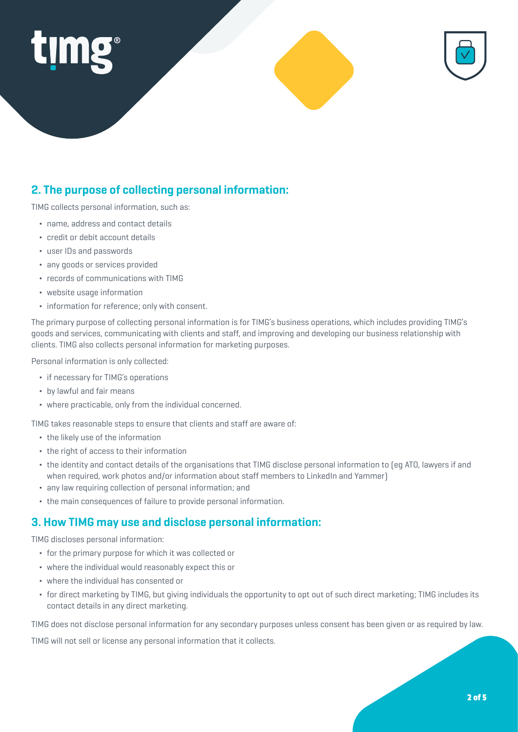

# **2. The purpose of collecting personal information:**

TIMG collects personal information, such as:

- ¬ name, address and contact details
- ¬ credit or debit account details
- ¬ user IDs and passwords
- any goods or services provided
- ¬ records of communications with TIMG
- ¬ website usage information
- ¬ information for reference; only with consent.

The primary purpose of collecting personal information is for TIMG's business operations, which includes providing TIMG's goods and services, communicating with clients and staff, and improving and developing our business relationship with clients. TIMG also collects personal information for marketing purposes.

Personal information is only collected:

- if necessary for TIMG's operations
- by lawful and fair means
- ¬ where practicable, only from the individual concerned.

TIMG takes reasonable steps to ensure that clients and staff are aware of:

- the likely use of the information
- the right of access to their information
- ¬ the identity and contact details of the organisations that TIMG disclose personal information to (eg ATO, lawyers if and when required, work photos and/or information about staff members to LinkedIn and Yammer)
- ¬ any law requiring collection of personal information; and
- ¬ the main consequences of failure to provide personal information.

#### **3. How TIMG may use and disclose personal information:**

TIMG discloses personal information:

- ¬ for the primary purpose for which it was collected or
- ¬ where the individual would reasonably expect this or
- ¬ where the individual has consented or
- ¬ for direct marketing by TIMG, but giving individuals the opportunity to opt out of such direct marketing; TIMG includes its contact details in any direct marketing.

TIMG does not disclose personal information for any secondary purposes unless consent has been given or as required by law.

TIMG will not sell or license any personal information that it collects.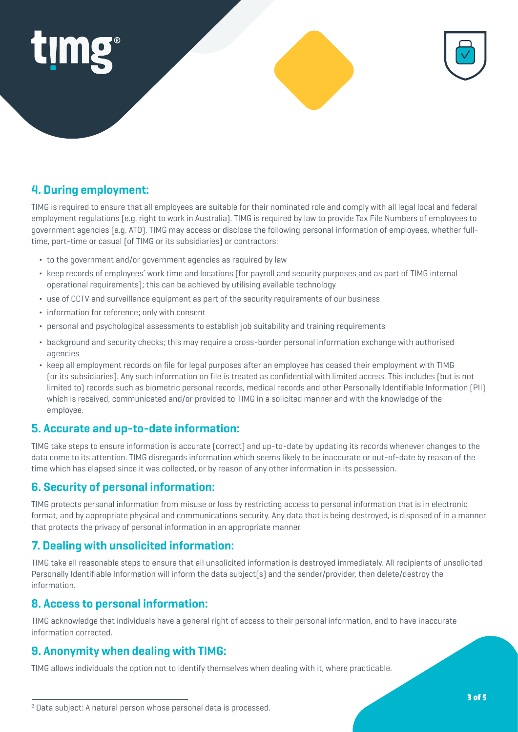



# **4. During employment:**

TIMG is required to ensure that all employees are suitable for their nominated role and comply with all legal local and federal employment regulations (e.g. right to work in Australia). TIMG is required by law to provide Tax File Numbers of employees to government agencies (e.g. ATO). TIMG may access or disclose the following personal information of employees, whether fulltime, part-time or casual (of TIMG or its subsidiaries) or contractors:

- ¬ to the government and/or government agencies as required by law
- ¬ keep records of employees' work time and locations (for payroll and security purposes and as part of TIMG internal operational requirements); this can be achieved by utilising available technology
- ¬ use of CCTV and surveillance equipment as part of the security requirements of our business
- ¬ information for reference; only with consent
- ¬ personal and psychological assessments to establish job suitability and training requirements
- ¬ background and security checks; this may require a cross-border personal information exchange with authorised agencies
- ¬ keep all employment records on file for legal purposes after an employee has ceased their employment with TIMG (or its subsidiaries). Any such information on file is treated as confidential with limited access. This includes (but is not limited to) records such as biometric personal records, medical records and other Personally Identifiable Information (PII) which is received, communicated and/or provided to TIMG in a solicited manner and with the knowledge of the employee.

#### **5. Accurate and up-to-date information:**

TIMG take steps to ensure information is accurate (correct) and up-to-date by updating its records whenever changes to the data come to its attention. TIMG disregards information which seems likely to be inaccurate or out-of-date by reason of the time which has elapsed since it was collected, or by reason of any other information in its possession.

#### **6. Security of personal information:**

TIMG protects personal information from misuse or loss by restricting access to personal information that is in electronic format, and by appropriate physical and communications security. Any data that is being destroyed, is disposed of in a manner that protects the privacy of personal information in an appropriate manner.

#### **7. Dealing with unsolicited information:**

TIMG take all reasonable steps to ensure that all unsolicited information is destroyed immediately. All recipients of unsolicited Personally Identifiable Information will inform the data subject(s) and the sender/provider, then delete/destroy the information.

#### **8. Access to personal information:**

TIMG acknowledge that individuals have a general right of access to their personal information, and to have inaccurate information corrected.

#### **9. Anonymity when dealing with TIMG:**

TIMG allows individuals the option not to identify themselves when dealing with it, where practicable.

<sup>2</sup> Data subject: A natural person whose personal data is processed.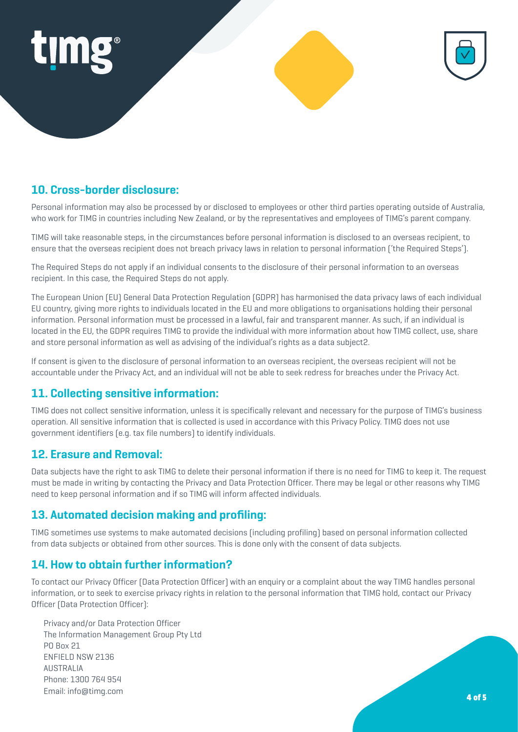



### **10. Cross-border disclosure:**

Personal information may also be processed by or disclosed to employees or other third parties operating outside of Australia, who work for TIMG in countries including New Zealand, or by the representatives and employees of TIMG's parent company.

TIMG will take reasonable steps, in the circumstances before personal information is disclosed to an overseas recipient, to ensure that the overseas recipient does not breach privacy laws in relation to personal information ('the Required Steps').

The Required Steps do not apply if an individual consents to the disclosure of their personal information to an overseas recipient. In this case, the Required Steps do not apply.

The European Union (EU) General Data Protection Regulation (GDPR) has harmonised the data privacy laws of each individual EU country, giving more rights to individuals located in the EU and more obligations to organisations holding their personal information. Personal information must be processed in a lawful, fair and transparent manner. As such, if an individual is located in the EU, the GDPR requires TIMG to provide the individual with more information about how TIMG collect, use, share and store personal information as well as advising of the individual's rights as a data subject2.

If consent is given to the disclosure of personal information to an overseas recipient, the overseas recipient will not be accountable under the Privacy Act, and an individual will not be able to seek redress for breaches under the Privacy Act.

#### **11. Collecting sensitive information:**

TIMG does not collect sensitive information, unless it is specifically relevant and necessary for the purpose of TIMG's business operation. All sensitive information that is collected is used in accordance with this Privacy Policy. TIMG does not use government identifiers (e.g. tax file numbers) to identify individuals.

#### **12. Erasure and Removal:**

Data subjects have the right to ask TIMG to delete their personal information if there is no need for TIMG to keep it. The request must be made in writing by contacting the Privacy and Data Protection Officer. There may be legal or other reasons why TIMG need to keep personal information and if so TIMG will inform affected individuals.

#### **13. Automated decision making and profiling:**

TIMG sometimes use systems to make automated decisions (including profiling) based on personal information collected from data subjects or obtained from other sources. This is done only with the consent of data subjects.

### **14. How to obtain further information?**

To contact our Privacy Officer (Data Protection Officer) with an enquiry or a complaint about the way TIMG handles personal information, or to seek to exercise privacy rights in relation to the personal information that TIMG hold, contact our Privacy Officer (Data Protection Officer):

Privacy and/or Data Protection Officer The Information Management Group Pty Ltd PO Box 21 ENFIELD NSW 2136 AUSTRALIA Phone: 1300 764 954 Email: info@timg.com 4 of 5